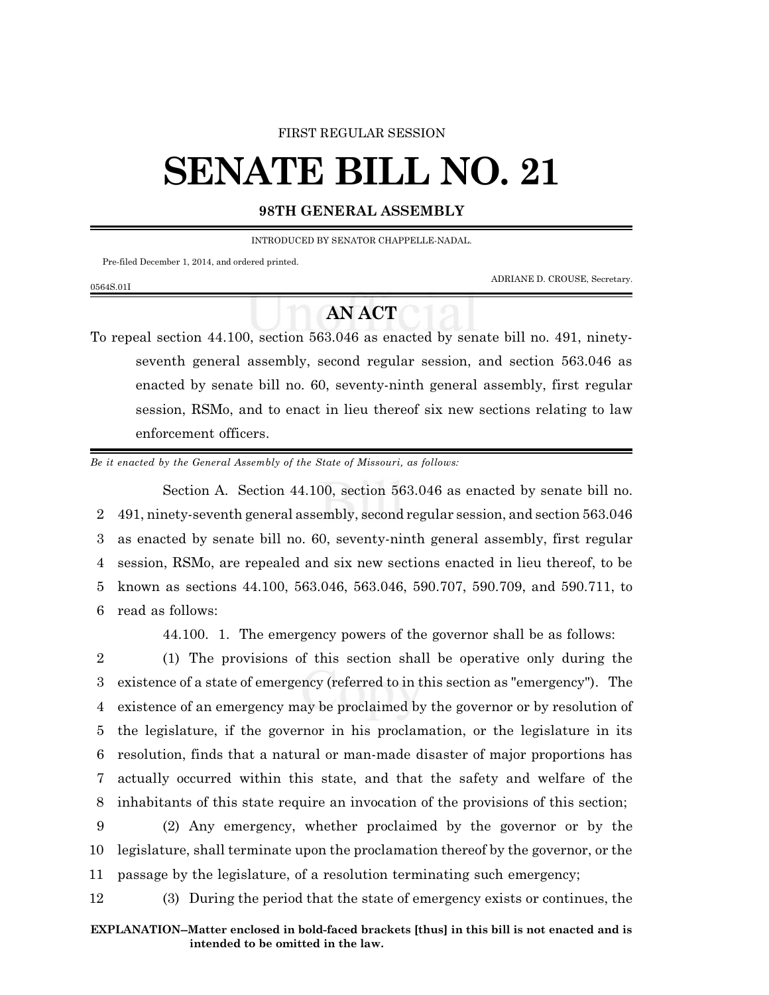#### FIRST REGULAR SESSION

# **SENATE BILL NO. 21**

### **98TH GENERAL ASSEMBLY**

INTRODUCED BY SENATOR CHAPPELLE-NADAL.

Pre-filed December 1, 2014, and ordered printed.

0564S.01I

ADRIANE D. CROUSE, Secretary.

## **AN ACT**

To repeal section 44.100, section 563.046 as enacted by senate bill no. 491, ninetyseventh general assembly, second regular session, and section 563.046 as enacted by senate bill no. 60, seventy-ninth general assembly, first regular session, RSMo, and to enact in lieu thereof six new sections relating to law enforcement officers.

*Be it enacted by the General Assembly of the State of Missouri, as follows:*

Section A. Section 44.100, section 563.046 as enacted by senate bill no. 491, ninety-seventh general assembly, second regular session, and section 563.046 as enacted by senate bill no. 60, seventy-ninth general assembly, first regular session, RSMo, are repealed and six new sections enacted in lieu thereof, to be known as sections 44.100, 563.046, 563.046, 590.707, 590.709, and 590.711, to read as follows:

44.100. 1. The emergency powers of the governor shall be as follows:

 (1) The provisions of this section shall be operative only during the existence of a state of emergency (referred to in this section as "emergency"). The existence of an emergency may be proclaimed by the governor or by resolution of the legislature, if the governor in his proclamation, or the legislature in its resolution, finds that a natural or man-made disaster of major proportions has actually occurred within this state, and that the safety and welfare of the inhabitants of this state require an invocation of the provisions of this section;

9 (2) Any emergency, whether proclaimed by the governor or by the 10 legislature, shall terminate upon the proclamation thereof by the governor, or the 11 passage by the legislature, of a resolution terminating such emergency;

12 (3) During the period that the state of emergency exists or continues, the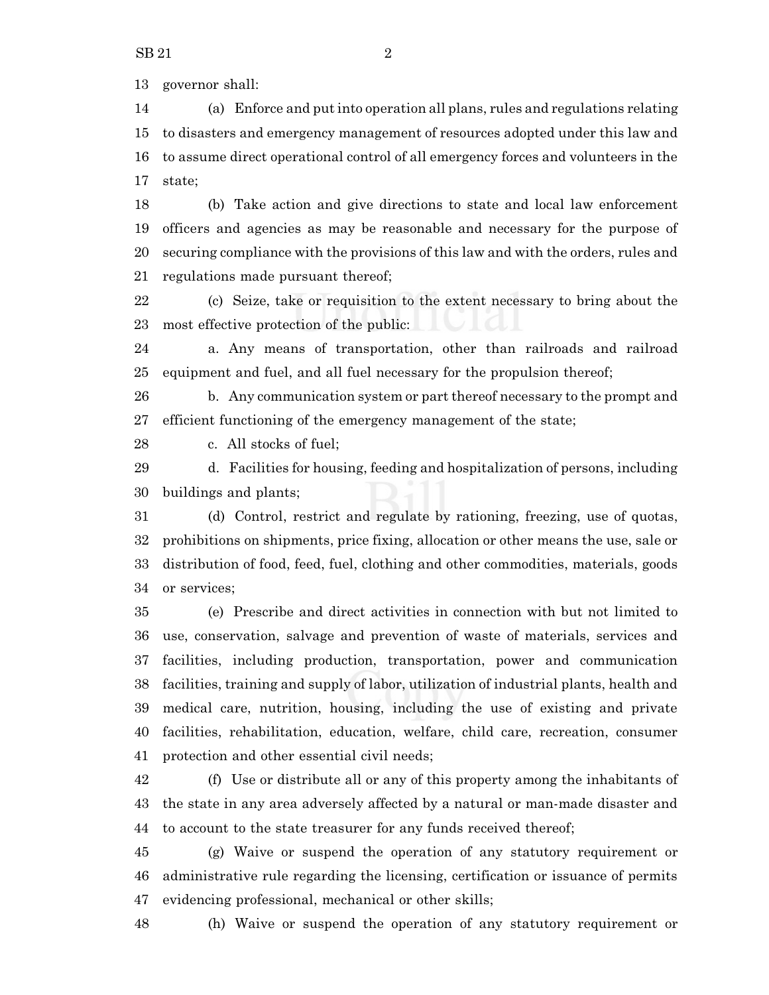governor shall:

 (a) Enforce and put into operation all plans, rules and regulations relating to disasters and emergency management of resources adopted under this law and to assume direct operational control of all emergency forces and volunteers in the state;

 (b) Take action and give directions to state and local law enforcement officers and agencies as may be reasonable and necessary for the purpose of securing compliance with the provisions of this law and with the orders, rules and regulations made pursuant thereof;

 (c) Seize, take or requisition to the extent necessary to bring about the most effective protection of the public:

 a. Any means of transportation, other than railroads and railroad equipment and fuel, and all fuel necessary for the propulsion thereof;

 b. Any communication system or part thereof necessary to the prompt and efficient functioning of the emergency management of the state;

c. All stocks of fuel;

 d. Facilities for housing, feeding and hospitalization of persons, including buildings and plants;

 (d) Control, restrict and regulate by rationing, freezing, use of quotas, prohibitions on shipments, price fixing, allocation or other means the use, sale or distribution of food, feed, fuel, clothing and other commodities, materials, goods or services;

 (e) Prescribe and direct activities in connection with but not limited to use, conservation, salvage and prevention of waste of materials, services and facilities, including production, transportation, power and communication facilities, training and supply of labor, utilization of industrial plants, health and medical care, nutrition, housing, including the use of existing and private facilities, rehabilitation, education, welfare, child care, recreation, consumer protection and other essential civil needs;

 (f) Use or distribute all or any of this property among the inhabitants of the state in any area adversely affected by a natural or man-made disaster and to account to the state treasurer for any funds received thereof;

 (g) Waive or suspend the operation of any statutory requirement or administrative rule regarding the licensing, certification or issuance of permits evidencing professional, mechanical or other skills;

(h) Waive or suspend the operation of any statutory requirement or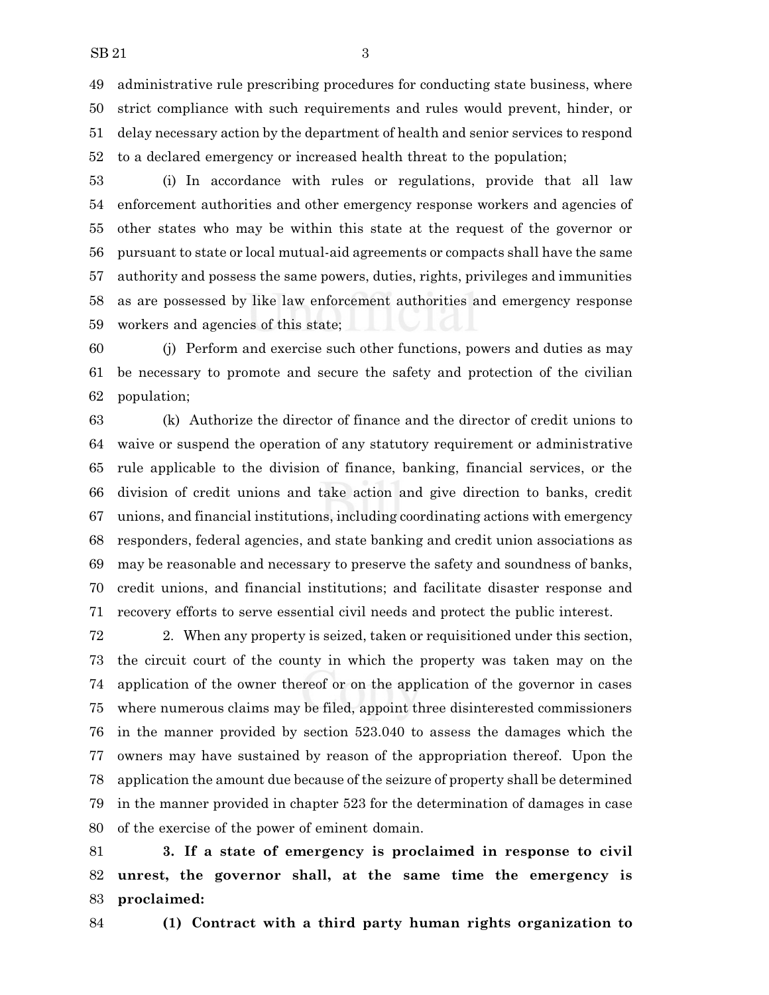administrative rule prescribing procedures for conducting state business, where strict compliance with such requirements and rules would prevent, hinder, or delay necessary action by the department of health and senior services to respond to a declared emergency or increased health threat to the population;

 (i) In accordance with rules or regulations, provide that all law enforcement authorities and other emergency response workers and agencies of other states who may be within this state at the request of the governor or pursuant to state or local mutual-aid agreements or compacts shall have the same authority and possess the same powers, duties, rights, privileges and immunities as are possessed by like law enforcement authorities and emergency response workers and agencies of this state;

 (j) Perform and exercise such other functions, powers and duties as may be necessary to promote and secure the safety and protection of the civilian population;

 (k) Authorize the director of finance and the director of credit unions to waive or suspend the operation of any statutory requirement or administrative rule applicable to the division of finance, banking, financial services, or the division of credit unions and take action and give direction to banks, credit unions, and financial institutions, including coordinating actions with emergency responders, federal agencies, and state banking and credit union associations as may be reasonable and necessary to preserve the safety and soundness of banks, credit unions, and financial institutions; and facilitate disaster response and recovery efforts to serve essential civil needs and protect the public interest.

 2. When any property is seized, taken or requisitioned under this section, the circuit court of the county in which the property was taken may on the application of the owner thereof or on the application of the governor in cases where numerous claims may be filed, appoint three disinterested commissioners in the manner provided by section 523.040 to assess the damages which the owners may have sustained by reason of the appropriation thereof. Upon the application the amount due because of the seizure of property shall be determined in the manner provided in chapter 523 for the determination of damages in case of the exercise of the power of eminent domain.

 **3. If a state of emergency is proclaimed in response to civil unrest, the governor shall, at the same time the emergency is proclaimed:**

**(1) Contract with a third party human rights organization to**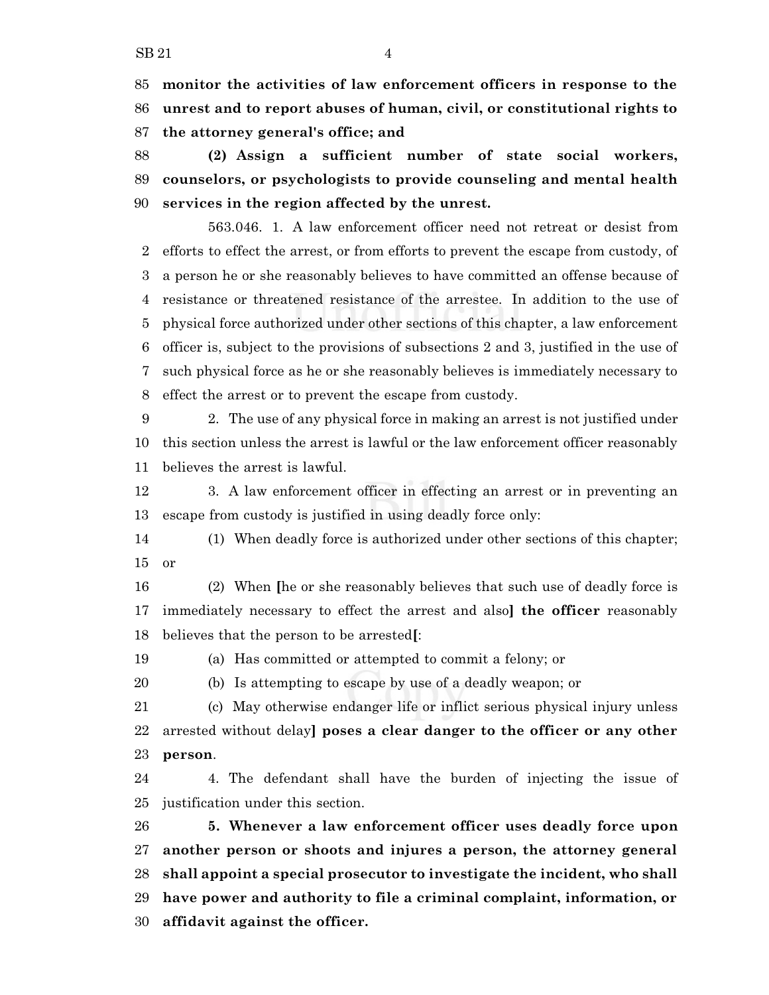**monitor the activities of law enforcement officers in response to the unrest and to report abuses of human, civil, or constitutional rights to the attorney general's office; and**

 **(2) Assign a sufficient number of state social workers, counselors, or psychologists to provide counseling and mental health services in the region affected by the unrest.**

563.046. 1. A law enforcement officer need not retreat or desist from efforts to effect the arrest, or from efforts to prevent the escape from custody, of a person he or she reasonably believes to have committed an offense because of resistance or threatened resistance of the arrestee. In addition to the use of physical force authorized under other sections of this chapter, a law enforcement officer is, subject to the provisions of subsections 2 and 3, justified in the use of such physical force as he or she reasonably believes is immediately necessary to effect the arrest or to prevent the escape from custody.

 2. The use of any physical force in making an arrest is not justified under this section unless the arrest is lawful or the law enforcement officer reasonably believes the arrest is lawful.

 3. A law enforcement officer in effecting an arrest or in preventing an escape from custody is justified in using deadly force only:

 (1) When deadly force is authorized under other sections of this chapter; or

 (2) When **[**he or she reasonably believes that such use of deadly force is immediately necessary to effect the arrest and also**] the officer** reasonably believes that the person to be arrested**[**:

(a) Has committed or attempted to commit a felony; or

(b) Is attempting to escape by use of a deadly weapon; or

 (c) May otherwise endanger life or inflict serious physical injury unless arrested without delay**] poses a clear danger to the officer or any other person**.

 4. The defendant shall have the burden of injecting the issue of justification under this section.

 **5. Whenever a law enforcement officer uses deadly force upon another person or shoots and injures a person, the attorney general shall appoint a special prosecutor to investigate the incident, who shall have power and authority to file a criminal complaint, information, or affidavit against the officer.**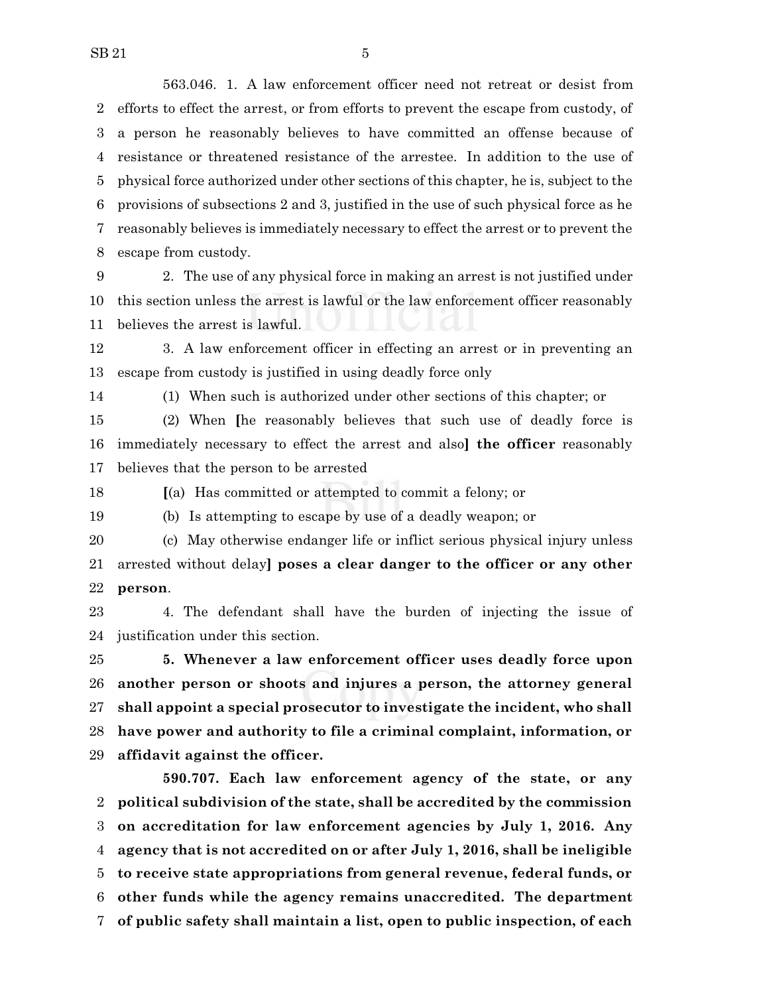563.046. 1. A law enforcement officer need not retreat or desist from efforts to effect the arrest, or from efforts to prevent the escape from custody, of a person he reasonably believes to have committed an offense because of resistance or threatened resistance of the arrestee. In addition to the use of physical force authorized under other sections of this chapter, he is, subject to the provisions of subsections 2 and 3, justified in the use of such physical force as he reasonably believes is immediately necessary to effect the arrest or to prevent the escape from custody.

 2. The use of any physical force in making an arrest is not justified under this section unless the arrest is lawful or the law enforcement officer reasonably believes the arrest is lawful.

 3. A law enforcement officer in effecting an arrest or in preventing an escape from custody is justified in using deadly force only

(1) When such is authorized under other sections of this chapter; or

 (2) When **[**he reasonably believes that such use of deadly force is immediately necessary to effect the arrest and also**] the officer** reasonably believes that the person to be arrested

**[**(a) Has committed or attempted to commit a felony; or

(b) Is attempting to escape by use of a deadly weapon; or

 (c) May otherwise endanger life or inflict serious physical injury unless arrested without delay**] poses a clear danger to the officer or any other person**.

 4. The defendant shall have the burden of injecting the issue of justification under this section.

 **5. Whenever a law enforcement officer uses deadly force upon another person or shoots and injures a person, the attorney general shall appoint a special prosecutor to investigate the incident, who shall have power and authority to file a criminal complaint, information, or affidavit against the officer.**

**590.707. Each law enforcement agency of the state, or any political subdivision of the state, shall be accredited by the commission on accreditation for law enforcement agencies by July 1, 2016. Any agency that is not accredited on or after July 1, 2016, shall be ineligible to receive state appropriations from general revenue, federal funds, or other funds while the agency remains unaccredited. The department of public safety shall maintain a list, open to public inspection, of each**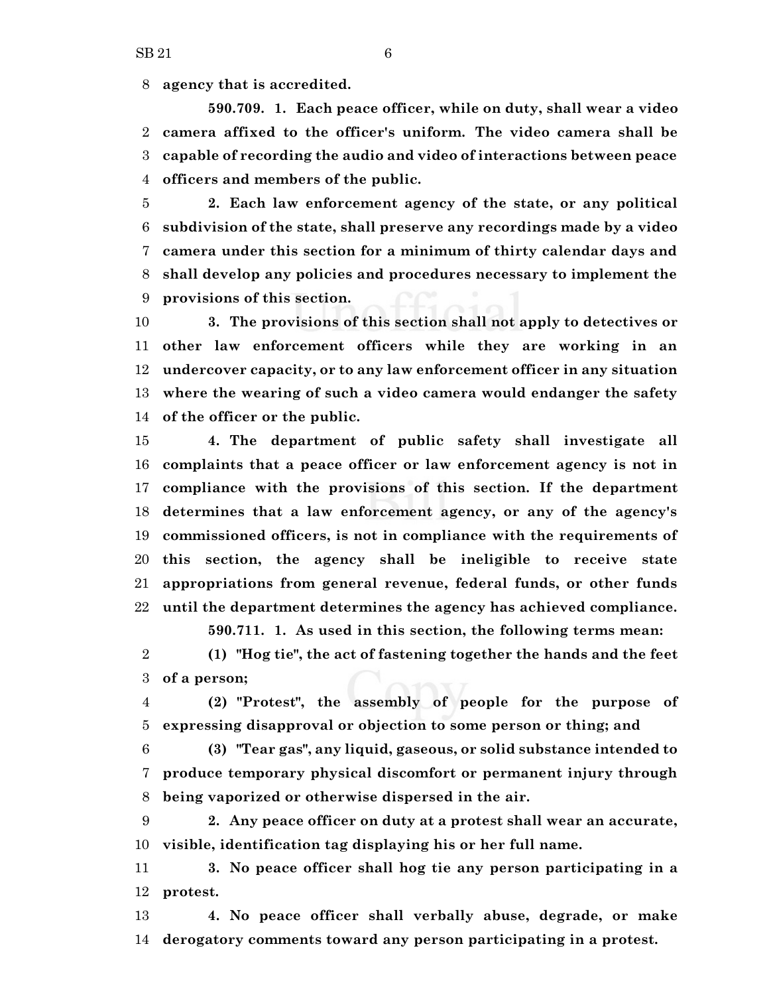**agency that is accredited.**

**590.709. 1. Each peace officer, while on duty, shall wear a video camera affixed to the officer's uniform. The video camera shall be capable of recording the audio and video of interactions between peace officers and members of the public.**

 **2. Each law enforcement agency of the state, or any political subdivision of the state, shall preserve any recordings made by a video camera under this section for a minimum of thirty calendar days and shall develop any policies and procedures necessary to implement the provisions of this section.**

 **3. The provisions of this section shall not apply to detectives or other law enforcement officers while they are working in an undercover capacity, or to any law enforcement officer in any situation where the wearing of such a video camera would endanger the safety of the officer or the public.**

 **4. The department of public safety shall investigate all complaints that a peace officer or law enforcement agency is not in compliance with the provisions of this section. If the department determines that a law enforcement agency, or any of the agency's commissioned officers, is not in compliance with the requirements of this section, the agency shall be ineligible to receive state appropriations from general revenue, federal funds, or other funds until the department determines the agency has achieved compliance.**

**590.711. 1. As used in this section, the following terms mean:**

 **(1) "Hog tie", the act of fastening together the hands and the feet of a person;**

 **(2) "Protest", the assembly of people for the purpose of expressing disapproval or objection to some person or thing; and**

 **(3) "Tear gas", any liquid, gaseous, or solid substance intended to produce temporary physical discomfort or permanent injury through being vaporized or otherwise dispersed in the air.**

 **2. Any peace officer on duty at a protest shall wear an accurate, visible, identification tag displaying his or her full name.**

 **3. No peace officer shall hog tie any person participating in a protest.**

 **4. No peace officer shall verbally abuse, degrade, or make derogatory comments toward any person participating in a protest.**